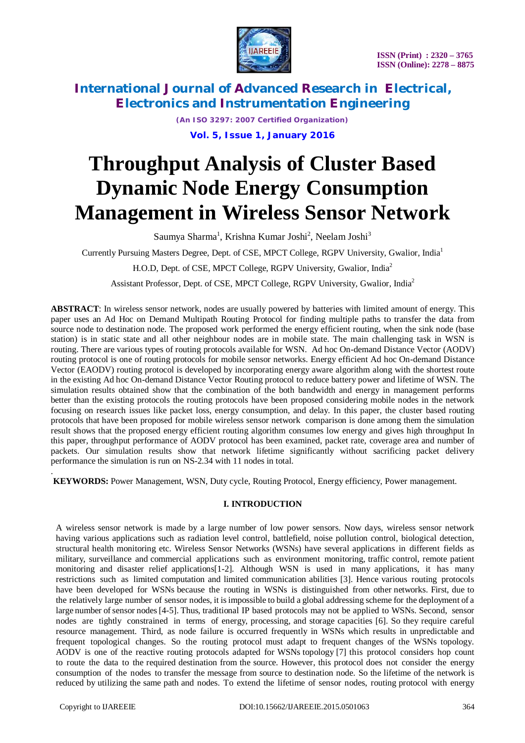

*(An ISO 3297: 2007 Certified Organization)*

**Vol. 5, Issue 1, January 2016**

# **Throughput Analysis of Cluster Based Dynamic Node Energy Consumption Management in Wireless Sensor Network**

Saumya Sharma<sup>1</sup>, Krishna Kumar Joshi<sup>2</sup>, Neelam Joshi<sup>3</sup>

Currently Pursuing Masters Degree, Dept. of CSE, MPCT College, RGPV University, Gwalior, India<sup>1</sup>

H.O.D, Dept. of CSE, MPCT College, RGPV University, Gwalior, India<sup>2</sup>

Assistant Professor, Dept. of CSE, MPCT College, RGPV University, Gwalior, India<sup>2</sup>

**ABSTRACT**: In wireless sensor network, nodes are usually powered by batteries with limited amount of energy. This paper uses an Ad Hoc on Demand Multipath Routing Protocol for finding multiple paths to transfer the data from source node to destination node. The proposed work performed the energy efficient routing, when the sink node (base station) is in static state and all other neighbour nodes are in mobile state. The main challenging task in WSN is routing. There are various types of routing protocols available for WSN. Ad hoc On-demand Distance Vector (AODV) routing protocol is one of routing protocols for mobile sensor networks. Energy efficient Ad hoc On-demand Distance Vector (EAODV) routing protocol is developed by incorporating energy aware algorithm along with the shortest route in the existing Ad hoc On-demand Distance Vector Routing protocol to reduce battery power and lifetime of WSN. The simulation results obtained show that the combination of the both bandwidth and energy in management performs better than the existing protocols the routing protocols have been proposed considering mobile nodes in the network focusing on research issues like packet loss, energy consumption, and delay. In this paper, the cluster based routing protocols that have been proposed for mobile wireless sensor network comparison is done among them the simulation result shows that the proposed energy efficient routing algorithm consumes low energy and gives high throughput In this paper, throughput performance of AODV protocol has been examined, packet rate, coverage area and number of packets. Our simulation results show that network lifetime significantly without sacrificing packet delivery performance the simulation is run on NS-2.34 with 11 nodes in total.

. **KEYWORDS:** Power Management, WSN, Duty cycle, Routing Protocol, Energy efficiency, Power management.

### **I. INTRODUCTION**

A wireless sensor network is made by a large number of low power sensors. Now days, wireless sensor network having various applications such as radiation level control, battlefield, noise pollution control, biological detection, structural health monitoring etc. Wireless Sensor Networks (WSNs) have several applications in different fields as military, surveillance and commercial applications such as environment monitoring, traffic control, remote patient monitoring and disaster relief applications[1-2]. Although WSN is used in many applications, it has many restrictions such as limited computation and limited communication abilities [3]. Hence various routing protocols have been developed for WSNs because the routing in WSNs is distinguished from other networks. First, due to the relatively large number of sensor nodes, it isimpossible to build a global addressing scheme for the deployment of a large number of sensor nodes [4-5]. Thus, traditional IP based protocols may not be applied to WSNs. Second, sensor nodes are tightly constrained in terms of energy, processing, and storage capacities [6]. So they require careful resource management. Third, as node failure is occurred frequently in WSNs which results in unpredictable and frequent topological changes. So the routing protocol must adapt to frequent changes of the WSNs topology. AODV is one of the reactive routing protocols adapted for WSNs topology [7] this protocol considers hop count to route the data to the required destination from the source. However, this protocol does not consider the energy consumption of the nodes to transfer the message from source to destination node. So the lifetime of the network is reduced by utilizing the same path and nodes. To extend the lifetime of sensor nodes, routing protocol with energy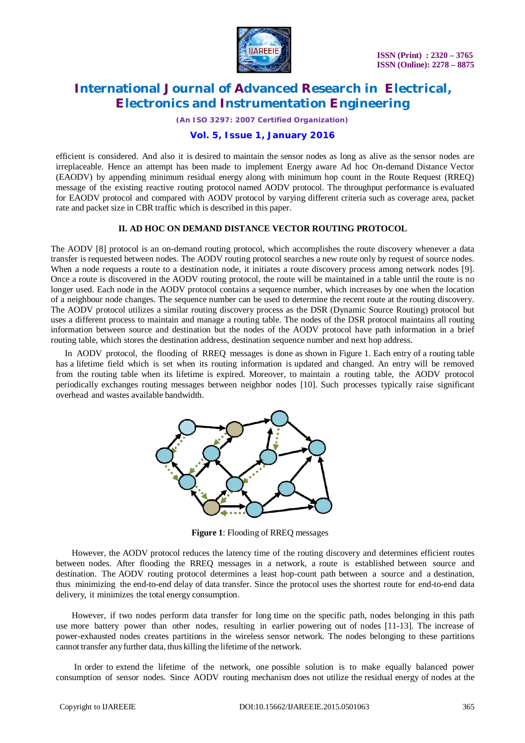

*(An ISO 3297: 2007 Certified Organization)*

### **Vol. 5, Issue 1, January 2016**

efficient is considered. And also it is desired to maintain the sensor nodes as long as alive as the sensor nodes are irreplaceable. Hence an attempt has been made to implement Energy aware Ad hoc On-demand Distance Vector (EAODV) by appending minimum residual energy along with minimum hop count in the Route Request (RREQ) message of the existing reactive routing protocol named AODV protocol. The throughput performance is evaluated for EAODV protocol and compared with AODV protocol by varying different criteria such as coverage area, packet rate and packet size in CBR traffic which is described in this paper.

#### **II. AD HOC ON DEMAND DISTANCE VECTOR ROUTING PROTOCOL**

The AODV [8] protocol is an on-demand routing protocol, which accomplishes the route discovery whenever a data transfer is requested between nodes. The AODV routing protocol searches a new route only by request of source nodes. When a node requests a route to a destination node, it initiates a route discovery process among network nodes [9]. Once a route is discovered in the AODV routing protocol, the route will be maintained in a table until the route is no longer used. Each node in the AODV protocol contains a sequence number, which increases by one when the location of a neighbour node changes. The sequence number can be used to determine the recent route at the routing discovery. The AODV protocol utilizes a similar routing discovery process as the DSR (Dynamic Source Routing) protocol but uses a different process to maintain and manage a routing table. The nodes of the DSR protocol maintains all routing information between source and destination but the nodes of the AODV protocol have path information in a brief routing table, which stores the destination address, destination sequence number and next hop address.

In AODV protocol, the flooding of RREQ messages is done as shown in Figure 1. Each entry of a routing table has a lifetime field which is set when its routing information is updated and changed. An entry will be removed from the routing table when its lifetime is expired. Moreover, to maintain a routing table, the AODV protocol periodically exchanges routing messages between neighbor nodes [10]. Such processes typically raise significant overhead and wastes available bandwidth.



 **Figure 1**: Flooding of RREQ messages

However, the AODV protocol reduces the latency time of the routing discovery and determines efficient routes between nodes. After flooding the RREQ messages in a network, a route is established between source and destination. The AODV routing protocol determines a least hop-count path between a source and a destination, thus minimizing the end-to-end delay of data transfer. Since the protocol uses the shortest route for end-to-end data delivery, it minimizes the total energy consumption.

However, if two nodes perform data transfer for long time on the specific path, nodes belonging in this path use more battery power than other nodes, resulting in earlier powering out of nodes [11-13]. The increase of power-exhausted nodes creates partitions in the wireless sensor network. The nodes belonging to these partitions cannot transfer anyfurther data, thus killing the lifetime of the network.

In order to extend the lifetime of the network, one possible solution is to make equally balanced power consumption of sensor nodes. Since AODV routing mechanism does not utilize the residual energy of nodes at the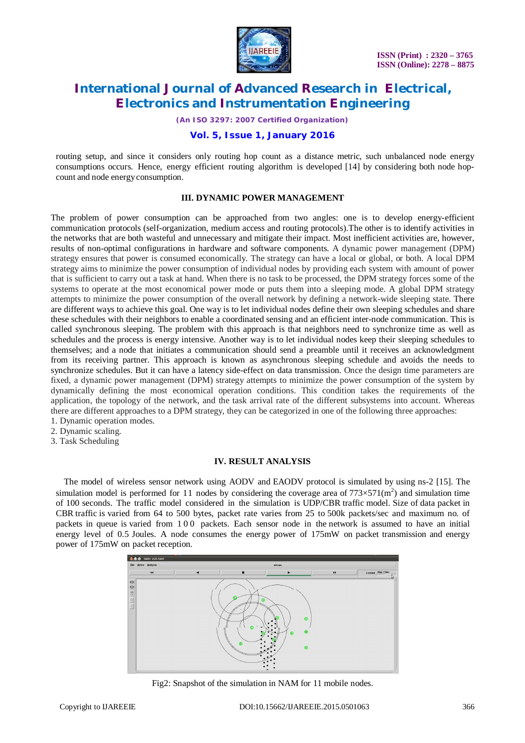

*(An ISO 3297: 2007 Certified Organization)*

### **Vol. 5, Issue 1, January 2016**

routing setup, and since it considers only routing hop count as a distance metric, such unbalanced node energy consumptions occurs. Hence, energy efficient routing algorithm is developed [14] by considering both node hopcount and node energyconsumption.

#### **III. DYNAMIC POWER MANAGEMENT**

The problem of power consumption can be approached from two angles: one is to develop energy-efficient communication protocols (self-organization, medium access and routing protocols).The other is to identify activities in the networks that are both wasteful and unnecessary and mitigate their impact. Most inefficient activities are, however, results of non-optimal configurations in hardware and software components. A dynamic power management (DPM) strategy ensures that power is consumed economically. The strategy can have a local or global, or both. A local DPM strategy aims to minimize the power consumption of individual nodes by providing each system with amount of power that is sufficient to carry out a task at hand. When there is no task to be processed, the DPM strategy forces some of the systems to operate at the most economical power mode or puts them into a sleeping mode. A global DPM strategy attempts to minimize the power consumption of the overall network by defining a network-wide sleeping state. There are different ways to achieve this goal. One way is to let individual nodes define their own sleeping schedules and share these schedules with their neighbors to enable a coordinated sensing and an efficient inter-node communication. This is called synchronous sleeping. The problem with this approach is that neighbors need to synchronize time as well as schedules and the process is energy intensive. Another way is to let individual nodes keep their sleeping schedules to themselves; and a node that initiates a communication should send a preamble until it receives an acknowledgment from its receiving partner. This approach is known as asynchronous sleeping schedule and avoids the needs to synchronize schedules. But it can have a latency side-effect on data transmission. Once the design time parameters are fixed, a dynamic power management (DPM) strategy attempts to minimize the power consumption of the system by dynamically defining the most economical operation conditions. This condition takes the requirements of the application, the topology of the network, and the task arrival rate of the different subsystems into account. Whereas there are different approaches to a DPM strategy, they can be categorized in one of the following three approaches:

- 1. Dynamic operation modes.
- 2. Dynamic scaling.
- 3. Task Scheduling

#### **IV. RESULT ANALYSIS**

The model of wireless sensor network using AODV and EAODV protocol is simulated by using ns-2 [15]. The simulation model is performed for 11 nodes by considering the coverage area of  $773\times571(m^2)$  and simulation time of 100 seconds. The traffic model considered in the simulation is UDP/CBR traffic model. Size of data packet in CBR traffic is varied from 64 to 500 bytes, packet rate varies from 25 to 500k packets/sec and maximum no. of packets in queue is varied from 1 0 0 packets. Each sensor node in the network is assumed to have an initial energy level of 0.5 Joules. A node consumes the energy power of 175mW on packet transmission and energy power of 175mW on packet reception.



Fig2: Snapshot of the simulation in NAM for 11 mobile nodes.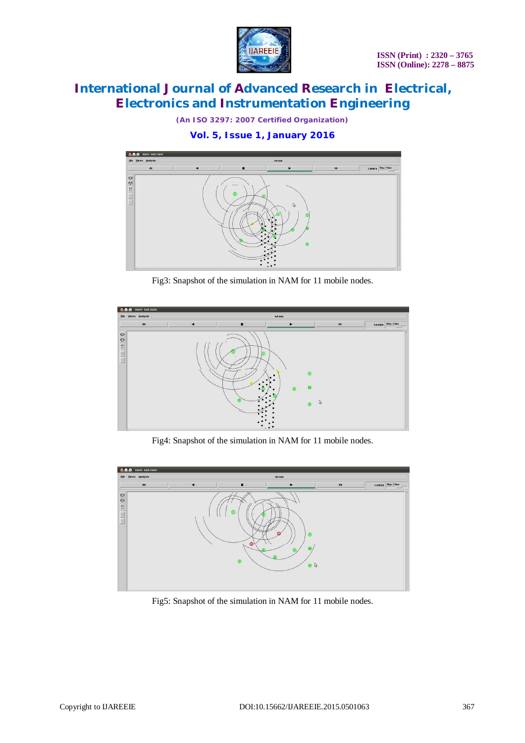

*(An ISO 3297: 2007 Certified Organization)*

### **Vol. 5, Issue 1, January 2016**



Fig3: Snapshot of the simulation in NAM for 11 mobile nodes.



Fig4: Snapshot of the simulation in NAM for 11 mobile nodes.



### Fig5: Snapshot of the simulation in NAM for 11 mobile nodes.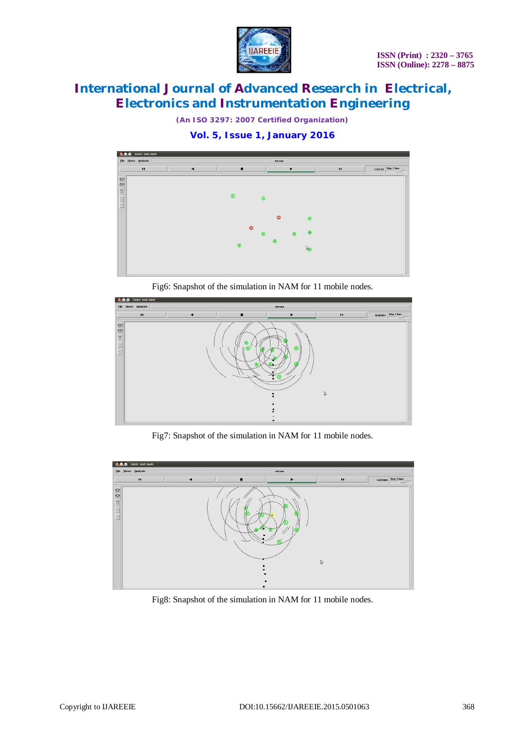

*(An ISO 3297: 2007 Certified Organization)*

**Vol. 5, Issue 1, January 2016**



Fig6: Snapshot of the simulation in NAM for 11 mobile nodes.



Fig7: Snapshot of the simulation in NAM for 11 mobile nodes.



Fig8: Snapshot of the simulation in NAM for 11 mobile nodes.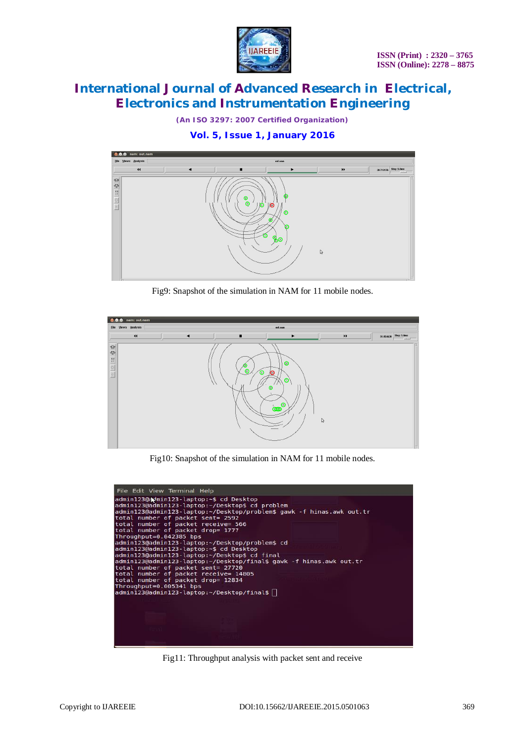

*(An ISO 3297: 2007 Certified Organization)*

### **Vol. 5, Issue 1, January 2016**



Fig9: Snapshot of the simulation in NAM for 11 mobile nodes.



Fig10: Snapshot of the simulation in NAM for 11 mobile nodes.



Fig11: Throughput analysis with packet sent and receive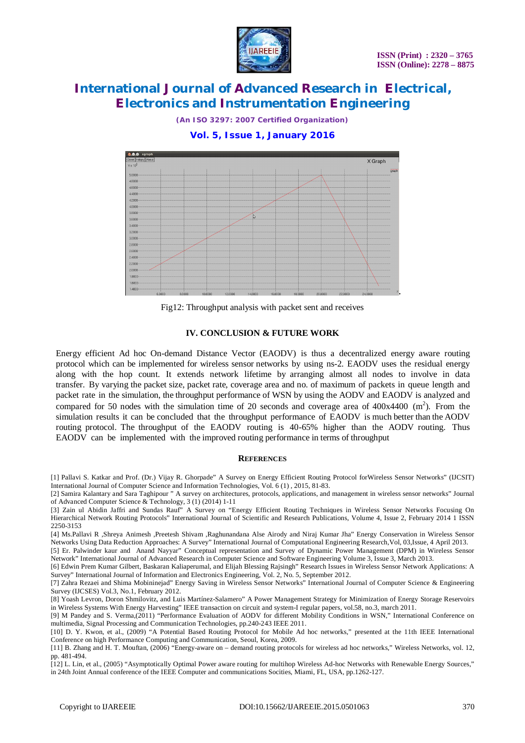

*(An ISO 3297: 2007 Certified Organization)*

**Vol. 5, Issue 1, January 2016**



Fig12: Throughput analysis with packet sent and receives

#### **IV. CONCLUSION & FUTURE WORK**

Energy efficient Ad hoc On-demand Distance Vector (EAODV) is thus a decentralized energy aware routing protocol which can be implemented for wireless sensor networks by using ns-2. EAODV uses the residual energy along with the hop count. It extends network lifetime by arranging almost all nodes to involve in data transfer. By varying the packet size, packet rate, coverage area and no. of maximum of packets in queue length and packet rate in the simulation, the throughput performance of WSN by using the AODV and EAODV is analyzed and compared for 50 nodes with the simulation time of 20 seconds and coverage area of  $400x4400$  (m<sup>2</sup>). From the simulation results it can be concluded that the throughput performance of EAODV is much better than the AODV routing protocol. The throughput of the EAODV routing is 40-65% higher than the AODV routing. Thus EAODV can be implemented with the improved routing performance in terms of throughput

#### **REFERENCES**

- [1] Pallavi S. Katkar and Prof. (Dr.) Vijay R. Ghorpade" A Survey on Energy Efficient Routing Protocol forWireless Sensor Networks" (IJCSIT) International Journal of Computer Science and Information Technologies, Vol. 6 (1) , 2015, 81-83.
- [2] Samira Kalantary and Sara Taghipour " A survey on architectures, protocols, applications, and management in wireless sensor networks" Journal of Advanced Computer Science & Technology, 3 (1) (2014) 1-11
- [3] Zain ul Abidin Jaffri and Sundas Rauf" A Survey on "Energy Efficient Routing Techniques in Wireless Sensor Networks Focusing On Hierarchical Network Routing Protocols" International Journal of Scientific and Research Publications, Volume 4, Issue 2, February 2014 1 ISSN 2250-3153
- [4] Ms.Pallavi R ,Shreya Animesh ,Preetesh Shivam ,Raghunandana Alse Airody and Niraj Kumar Jha" Energy Conservation in Wireless Sensor Networks Using Data Reduction Approaches: A Survey" International Journal of Computational Engineering Research,Vol, 03,Issue, 4 April 2013.
- [5] Er. Palwinder kaur and Anand Nayyar" Conceptual representation and Survey of Dynamic Power Management (DPM) in Wireless Sensor Network" International Journal of Advanced Research in Computer Science and Software Engineering Volume 3, Issue 3, March 2013.

[6] Edwin Prem Kumar Gilbert, Baskaran Kaliaperumal, and Elijah Blessing Rajsingh" Research Issues in Wireless Sensor Network Applications: A Survey" International Journal of Information and Electronics Engineering, Vol. 2, No. 5, September 2012.

[7] Zahra Rezaei and Shima Mobininejad" Energy Saving in Wireless Sensor Networks" International Journal of Computer Science & Engineering Survey (IJCSES) Vol.3, No.1, February 2012.

[8] Yoash Levron, Doron Shmilovitz, and Luis Martínez-Salamero" A Power Management Strategy for Minimization of Energy Storage Reservoirs in Wireless Systems With Energy Harvesting" IEEE transaction on circuit and system-I regular papers, vol.58, no.3, march 2011.

[9] M Pandey and S. Verma,(2011) "Performance Evaluation of AODV for different Mobility Conditions in WSN," International Conference on multimedia, Signal Processing and Communication Technologies, pp.240-243 IEEE 2011.

[10] D. Y. Kwon, et al., (2009) "A Potential Based Routing Protocol for Mobile Ad hoc networks," presented at the 11th IEEE International Conference on high Performance Computing and Communication, Seoul, Korea, 2009.

[12] L. Lin, et al., (2005) "Asymptotically Optimal Power aware routing for multihop Wireless Ad-hoc Networks with Renewable Energy Sources," in 24th Joint Annual conference of the IEEE Computer and communications Socities, Miami, FL, USA, pp.1262-127.

<sup>[11]</sup> B. Zhang and H. T. Mouftan, (2006) "Energy-aware on – demand routing protocols for wireless ad hoc networks," Wireless Networks, vol. 12, pp. 481-494.